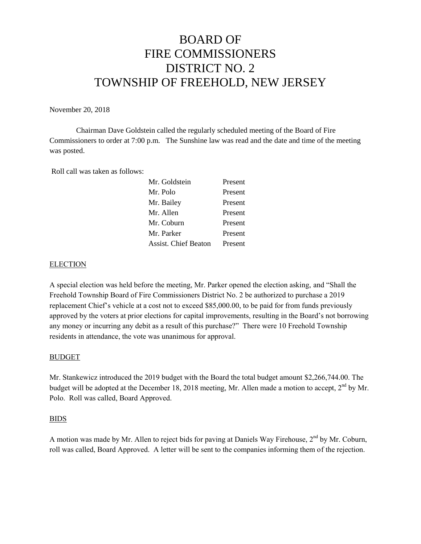# BOARD OF FIRE COMMISSIONERS DISTRICT NO. 2 TOWNSHIP OF FREEHOLD, NEW JERSEY

November 20, 2018

Chairman Dave Goldstein called the regularly scheduled meeting of the Board of Fire Commissioners to order at 7:00 p.m. The Sunshine law was read and the date and time of the meeting was posted.

Roll call was taken as follows:

| Mr. Goldstein               | Present |
|-----------------------------|---------|
| Mr. Polo                    | Present |
| Mr. Bailey                  | Present |
| Mr. Allen                   | Present |
| Mr. Coburn                  | Present |
| Mr. Parker                  | Present |
| <b>Assist. Chief Beaton</b> | Present |

## **ELECTION**

A special election was held before the meeting, Mr. Parker opened the election asking, and "Shall the Freehold Township Board of Fire Commissioners District No. 2 be authorized to purchase a 2019 replacement Chief's vehicle at a cost not to exceed \$85,000.00, to be paid for from funds previously approved by the voters at prior elections for capital improvements, resulting in the Board's not borrowing any money or incurring any debit as a result of this purchase?" There were 10 Freehold Township residents in attendance, the vote was unanimous for approval.

#### BUDGET

Mr. Stankewicz introduced the 2019 budget with the Board the total budget amount \$2,266,744.00. The budget will be adopted at the December 18, 2018 meeting, Mr. Allen made a motion to accept, 2<sup>nd</sup> by Mr. Polo. Roll was called, Board Approved.

#### BIDS

A motion was made by Mr. Allen to reject bids for paving at Daniels Way Firehouse, 2<sup>nd</sup> by Mr. Coburn, roll was called, Board Approved. A letter will be sent to the companies informing them of the rejection.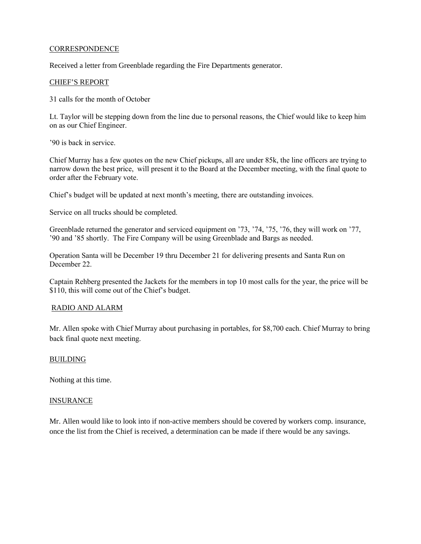#### **CORRESPONDENCE**

Received a letter from Greenblade regarding the Fire Departments generator.

#### CHIEF'S REPORT

31 calls for the month of October

Lt. Taylor will be stepping down from the line due to personal reasons, the Chief would like to keep him on as our Chief Engineer.

'90 is back in service.

Chief Murray has a few quotes on the new Chief pickups, all are under 85k, the line officers are trying to narrow down the best price, will present it to the Board at the December meeting, with the final quote to order after the February vote.

Chief's budget will be updated at next month's meeting, there are outstanding invoices.

Service on all trucks should be completed.

Greenblade returned the generator and serviced equipment on '73, '74, '75, '76, they will work on '77, '90 and '85 shortly. The Fire Company will be using Greenblade and Bargs as needed.

Operation Santa will be December 19 thru December 21 for delivering presents and Santa Run on December 22.

Captain Rehberg presented the Jackets for the members in top 10 most calls for the year, the price will be \$110, this will come out of the Chief's budget.

#### RADIO AND ALARM

Mr. Allen spoke with Chief Murray about purchasing in portables, for \$8,700 each. Chief Murray to bring back final quote next meeting.

#### BUILDING

Nothing at this time.

#### INSURANCE

Mr. Allen would like to look into if non-active members should be covered by workers comp. insurance, once the list from the Chief is received, a determination can be made if there would be any savings.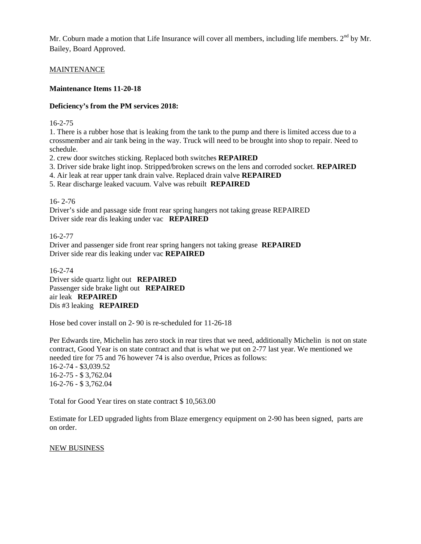Mr. Coburn made a motion that Life Insurance will cover all members, including life members. 2<sup>nd</sup> by Mr. Bailey, Board Approved.

## MAINTENANCE

## **Maintenance Items 11-20-18**

## **Deficiency's from the PM services 2018:**

16-2-75

1. There is a rubber hose that is leaking from the tank to the pump and there is limited access due to a crossmember and air tank being in the way. Truck will need to be brought into shop to repair. Need to schedule.

2. crew door switches sticking. Replaced both switches **REPAIRED**

3. Driver side brake light inop. Stripped/broken screws on the lens and corroded socket. **REPAIRED**

4. Air leak at rear upper tank drain valve. Replaced drain valve **REPAIRED**

5. Rear discharge leaked vacuum. Valve was rebuilt **REPAIRED**

## 16- 2-76

Driver's side and passage side front rear spring hangers not taking grease REPAIRED Driver side rear dis leaking under vac **REPAIRED**

16-2-77

Driver and passenger side front rear spring hangers not taking grease **REPAIRED** Driver side rear dis leaking under vac **REPAIRED**

16-2-74

Driver side quartz light out **REPAIRED** Passenger side brake light out **REPAIRED** air leak **REPAIRED** Dis #3 leaking **REPAIRED**

Hose bed cover install on 2- 90 is re-scheduled for 11-26-18

Per Edwards tire, Michelin has zero stock in rear tires that we need, additionally Michelin is not on state contract, Good Year is on state contract and that is what we put on 2-77 last year. We mentioned we needed tire for 75 and 76 however 74 is also overdue, Prices as follows: 16-2-74 - \$3,039.52 16-2-75 - \$ 3,762.04 16-2-76 - \$ 3,762.04

Total for Good Year tires on state contract \$ 10,563.00

Estimate for LED upgraded lights from Blaze emergency equipment on 2-90 has been signed, parts are on order.

#### NEW BUSINESS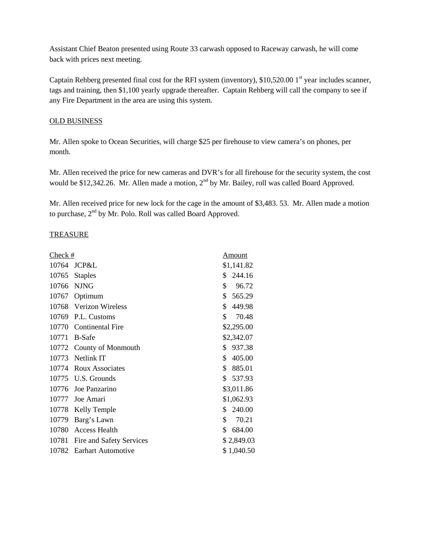Assistant Chief Beaton presented using Route 33 carwash opposed to Raceway carwash, he will come back with prices next meeting.

Captain Rehberg presented final cost for the RFI system (inventory),  $$10,520.001$ <sup>st</sup> year includes scanner, tags and training, then \$1,100 yearly upgrade thereafter. Captain Rehberg will call the company to see if any Fire Department in the area are using this system.

### OLD BUSINESS

Mr. Allen spoke to Ocean Securities, will charge \$25 per firehouse to view camera's on phones, per month.

Mr. Allen received the price for new cameras and DVR's for all firehouse for the security system, the cost would be \$12,342.26. Mr. Allen made a motion,  $2<sup>nd</sup>$  by Mr. Bailey, roll was called Board Approved.

Mr. Allen received price for new lock for the cage in the amount of \$3,483. 53. Mr. Allen made a motion to purchase,  $2<sup>nd</sup>$  by Mr. Polo. Roll was called Board Approved.

## **TREASURE**

| Check # |                          | Amount       |
|---------|--------------------------|--------------|
| 10764   | JCP&L                    | \$1,141.82   |
| 10765   | <b>Staples</b>           | \$<br>244.16 |
| 10766   | <b>NJNG</b>              | \$<br>96.72  |
| 10767   | Optimum                  | \$<br>565.29 |
|         | 10768 Verizon Wireless   | \$<br>449.98 |
|         | 10769 P.L. Customs       | \$<br>70.48  |
|         | 10770 Continental Fire   | \$2,295.00   |
| 10771   | <b>B-Safe</b>            | \$2,342.07   |
|         | 10772 County of Monmouth | 937.38<br>\$ |
|         | 10773 Netlink IT         | \$<br>405.00 |
|         | 10774 Roux Associates    | \$<br>885.01 |
|         | 10775 U.S. Grounds       | \$<br>537.93 |
|         | 10776 Joe Panzarino      | \$3,011.86   |
| 10777   | Joe Amari                | \$1,062.93   |
| 10778   | Kelly Temple             | 240.00<br>\$ |
| 10779   | Barg's Lawn              | \$<br>70.21  |
| 10780   | <b>Access Health</b>     | \$<br>684.00 |
| 10781   | Fire and Safety Services | \$2,849.03   |
|         | 10782 Earhart Automotive | \$1,040.50   |